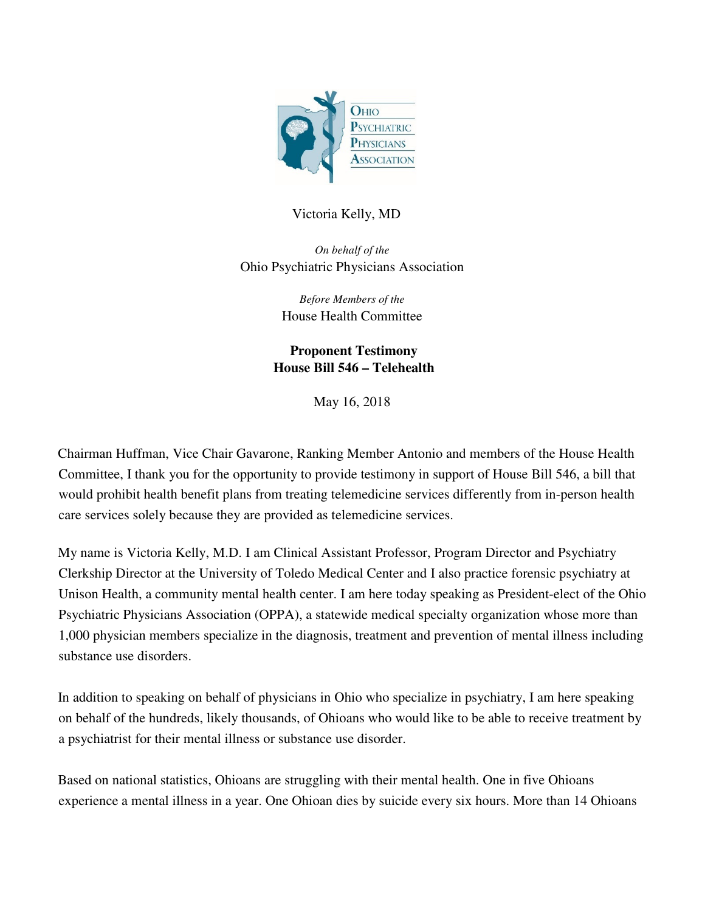

## Victoria Kelly, MD

*On behalf of the*  Ohio Psychiatric Physicians Association

> *Before Members of the*  House Health Committee

**Proponent Testimony House Bill 546 – Telehealth** 

May 16, 2018

Chairman Huffman, Vice Chair Gavarone, Ranking Member Antonio and members of the House Health Committee, I thank you for the opportunity to provide testimony in support of House Bill 546, a bill that would prohibit health benefit plans from treating telemedicine services differently from in-person health care services solely because they are provided as telemedicine services.

My name is Victoria Kelly, M.D. I am Clinical Assistant Professor, Program Director and Psychiatry Clerkship Director at the University of Toledo Medical Center and I also practice forensic psychiatry at Unison Health, a community mental health center. I am here today speaking as President-elect of the Ohio Psychiatric Physicians Association (OPPA), a statewide medical specialty organization whose more than 1,000 physician members specialize in the diagnosis, treatment and prevention of mental illness including substance use disorders.

In addition to speaking on behalf of physicians in Ohio who specialize in psychiatry, I am here speaking on behalf of the hundreds, likely thousands, of Ohioans who would like to be able to receive treatment by a psychiatrist for their mental illness or substance use disorder.

Based on national statistics, Ohioans are struggling with their mental health. One in five Ohioans experience a mental illness in a year. One Ohioan dies by suicide every six hours. More than 14 Ohioans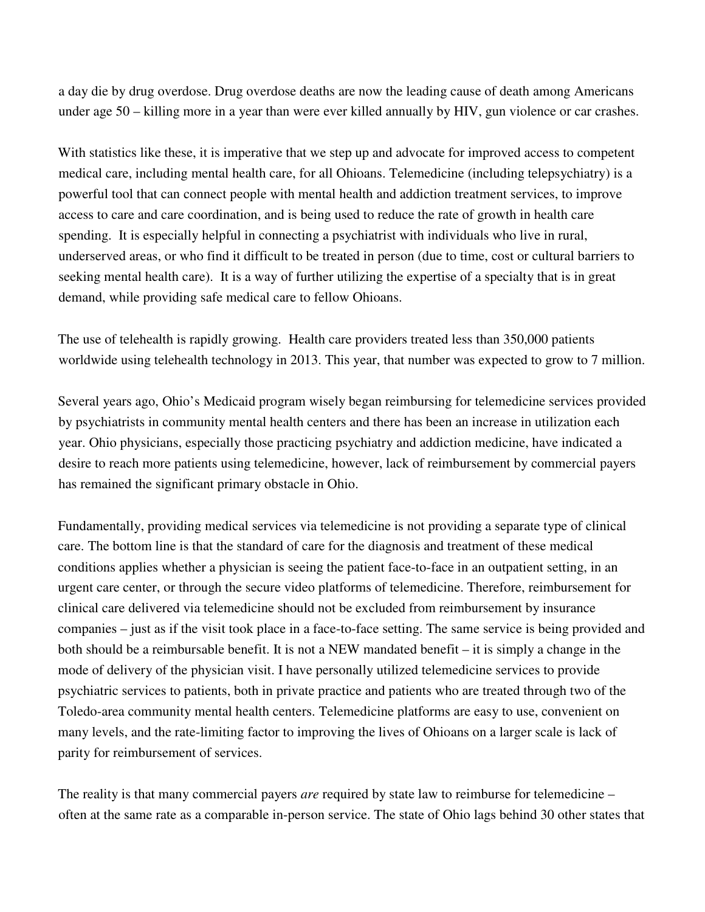a day die by drug overdose. Drug overdose deaths are now the leading cause of death among Americans under age 50 – killing more in a year than were ever killed annually by HIV, gun violence or car crashes.

With statistics like these, it is imperative that we step up and advocate for improved access to competent medical care, including mental health care, for all Ohioans. Telemedicine (including telepsychiatry) is a powerful tool that can connect people with mental health and addiction treatment services, to improve access to care and care coordination, and is being used to reduce the rate of growth in health care spending. It is especially helpful in connecting a psychiatrist with individuals who live in rural, underserved areas, or who find it difficult to be treated in person (due to time, cost or cultural barriers to seeking mental health care). It is a way of further utilizing the expertise of a specialty that is in great demand, while providing safe medical care to fellow Ohioans.

The use of telehealth is rapidly growing. Health care providers treated less than 350,000 patients worldwide using telehealth technology in 2013. This year, that number was expected to grow to 7 million.

Several years ago, Ohio's Medicaid program wisely began reimbursing for telemedicine services provided by psychiatrists in community mental health centers and there has been an increase in utilization each year. Ohio physicians, especially those practicing psychiatry and addiction medicine, have indicated a desire to reach more patients using telemedicine, however, lack of reimbursement by commercial payers has remained the significant primary obstacle in Ohio.

Fundamentally, providing medical services via telemedicine is not providing a separate type of clinical care. The bottom line is that the standard of care for the diagnosis and treatment of these medical conditions applies whether a physician is seeing the patient face-to-face in an outpatient setting, in an urgent care center, or through the secure video platforms of telemedicine. Therefore, reimbursement for clinical care delivered via telemedicine should not be excluded from reimbursement by insurance companies – just as if the visit took place in a face-to-face setting. The same service is being provided and both should be a reimbursable benefit. It is not a NEW mandated benefit – it is simply a change in the mode of delivery of the physician visit. I have personally utilized telemedicine services to provide psychiatric services to patients, both in private practice and patients who are treated through two of the Toledo-area community mental health centers. Telemedicine platforms are easy to use, convenient on many levels, and the rate-limiting factor to improving the lives of Ohioans on a larger scale is lack of parity for reimbursement of services.

The reality is that many commercial payers *are* required by state law to reimburse for telemedicine – often at the same rate as a comparable in-person service. The state of Ohio lags behind 30 other states that